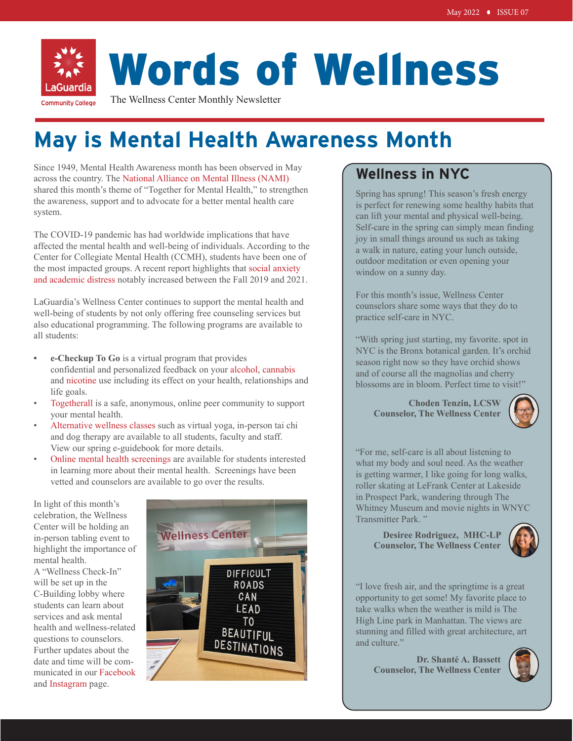

# Words of Wellness

The Wellness Center Monthly Newsletter

# **May is Mental Health Awareness Month**

Since 1949, Mental Health Awareness month has been observed in May across the country. The [National Alliance on Mental Illness \(NAMI\)](https://nami.org/Home) shared this month's theme of "Together for Mental Health," to strengthen the awareness, support and to advocate for a better mental health care system.

The COVID-19 pandemic has had worldwide implications that have affected the mental health and well-being of individuals. According to the Center for Collegiate Mental Health (CCMH), students have been one of the most impacted groups. A recent report highlights that [social anxiety](https://ccmh.psu.edu/index.php?option=com_dailyplanetblog&view=entry&year=2022&month=03&day=21&id=23:fall-2021-covid-19-impact-on-college-student-mental-health)  [and academic distress](https://ccmh.psu.edu/index.php?option=com_dailyplanetblog&view=entry&year=2022&month=03&day=21&id=23:fall-2021-covid-19-impact-on-college-student-mental-health) notably increased between the Fall 2019 and 2021.

LaGuardia's Wellness Center continues to support the mental health and well-being of students by not only offering free counseling services but also educational programming. The following programs are available to all students:

- **• e-Checkup To Go** is a virtual program that provides confidential and personalized feedback on your [alcohol,](https://echeckup.sdsu.edu/usa/alc/coll/laguardia/#!/) [cannabis](https://echeckup.sdsu.edu/usa/mj/coll/laguardia/#!/)  and [nicotine](https://interwork.sdsu.edu/echeckup/tobacco/campus/laguardia) use including its effect on your health, relationships and life goals.
- [Togetherall](https://account.v2.togetherall.com/register/student?utm_campaign=QR%20&utm_medium=InteractivePDF&utm_source=USEducation) is a safe, anonymous, online peer community to support your mental health.
- [Alternative wellness classes](https://www.laguardia.edu/uploadedfiles/main_site/content/student_services/student_crisis/e-guidebook.pdf) such as virtual yoga, in-person tai chi and dog therapy are available to all students, faculty and staff. View our spring e-guidebook for more details.
- [Online](https://forms.office.com/r/yQaWBQQNE2) [mental health screenings](https://forms.office.com/r/yQaWBQQNE2) are available for students interested in learning more about their mental health. Screenings have been vetted and counselors are available to go over the results.

In light of this month's celebration, the Wellness Center will be holding an in-person tabling event to highlight the importance of mental health.

A "Wellness Check-In" will be set up in the C-Building lobby where students can learn about services and ask mental health and wellness-related questions to counselors. Further updates about the date and time will be communicated in our [Facebook](https://www.facebook.com/LAGCCWC)  and [Instagram](https://www.instagram.com/lagcc_wellnesscenter/) page.



# **Wellness in NYC**

Spring has sprung! This season's fresh energy is perfect for renewing some healthy habits that can lift your mental and physical well-being. Self-care in the spring can simply mean finding joy in small things around us such as taking a walk in nature, eating your lunch outside, outdoor meditation or even opening your window on a sunny day.

For this month's issue, Wellness Center counselors share some ways that they do to practice self-care in NYC.

"With spring just starting, my favorite. spot in NYC is the Bronx botanical garden. It's orchid season right now so they have orchid shows and of course all the magnolias and cherry blossoms are in bloom. Perfect time to visit!"

**Choden Tenzin, LCSW Counselor, The Wellness Center**



"For me, self-care is all about listening to what my body and soul need. As the weather is getting warmer, I like going for long walks, roller skating at LeFrank Center at Lakeside in Prospect Park, wandering through The Whitney Museum and movie nights in WNYC Transmitter Park. "

> **Desiree Rodriguez, MHC-LP Counselor, The Wellness Center**



"I love fresh air, and the springtime is a great opportunity to get some! My favorite place to take walks when the weather is mild is The High Line park in Manhattan. The views are stunning and filled with great architecture, art and culture."

> **Dr. Shanté A. Bassett Counselor, The Wellness Center**